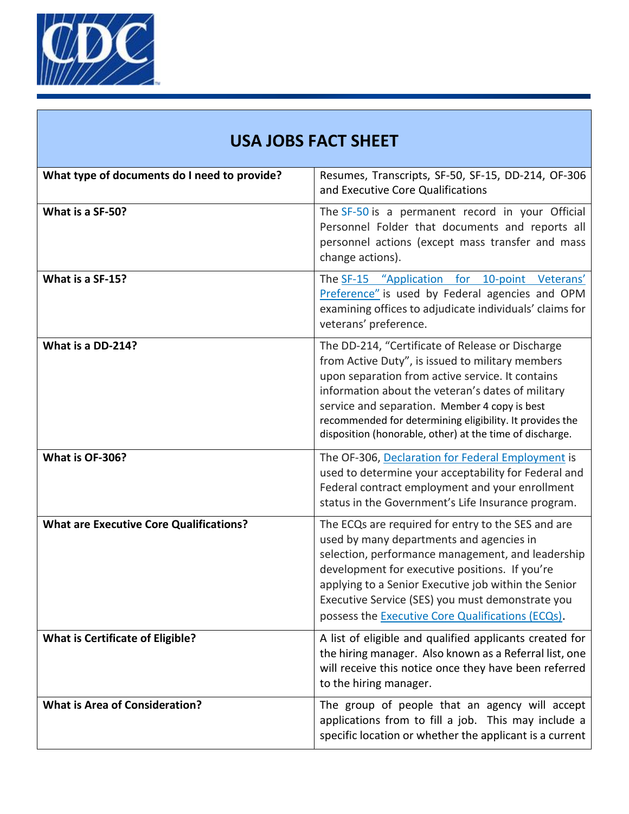

|  | <b>USA JOBS FACT SHEET</b> |
|--|----------------------------|
|  |                            |

| What type of documents do I need to provide?   | Resumes, Transcripts, SF-50, SF-15, DD-214, OF-306<br>and Executive Core Qualifications                                                                                                                                                                                                                                                                                                |
|------------------------------------------------|----------------------------------------------------------------------------------------------------------------------------------------------------------------------------------------------------------------------------------------------------------------------------------------------------------------------------------------------------------------------------------------|
| What is a SF-50?                               | The SF-50 is a permanent record in your Official<br>Personnel Folder that documents and reports all<br>personnel actions (except mass transfer and mass<br>change actions).                                                                                                                                                                                                            |
| What is a SF-15?                               | The SF-15 "Application for 10-point Veterans'<br>Preference" is used by Federal agencies and OPM<br>examining offices to adjudicate individuals' claims for<br>veterans' preference.                                                                                                                                                                                                   |
| What is a DD-214?                              | The DD-214, "Certificate of Release or Discharge<br>from Active Duty", is issued to military members<br>upon separation from active service. It contains<br>information about the veteran's dates of military<br>service and separation. Member 4 copy is best<br>recommended for determining eligibility. It provides the<br>disposition (honorable, other) at the time of discharge. |
| What is OF-306?                                | The OF-306, Declaration for Federal Employment is<br>used to determine your acceptability for Federal and<br>Federal contract employment and your enrollment<br>status in the Government's Life Insurance program.                                                                                                                                                                     |
| <b>What are Executive Core Qualifications?</b> | The ECQs are required for entry to the SES and are<br>used by many departments and agencies in<br>selection, performance management, and leadership<br>development for executive positions. If you're<br>applying to a Senior Executive job within the Senior<br>Executive Service (SES) you must demonstrate you<br>possess the Executive Core Qualifications (ECQs).                 |
| <b>What is Certificate of Eligible?</b>        | A list of eligible and qualified applicants created for<br>the hiring manager. Also known as a Referral list, one<br>will receive this notice once they have been referred<br>to the hiring manager.                                                                                                                                                                                   |
| <b>What is Area of Consideration?</b>          | The group of people that an agency will accept<br>applications from to fill a job. This may include a<br>specific location or whether the applicant is a current                                                                                                                                                                                                                       |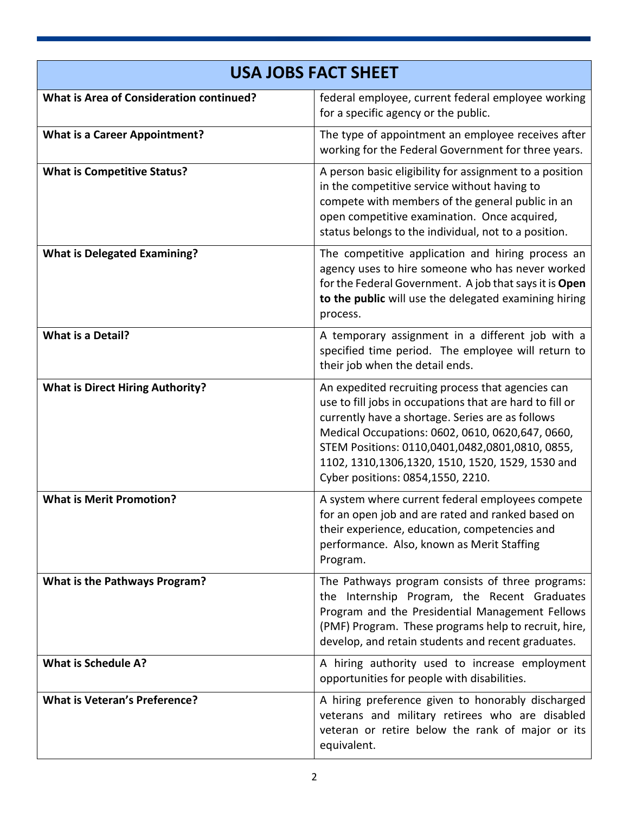| <b>USA JOBS FACT SHEET</b>                      |                                                                                                                                                                                                                                                                                                                                                                      |  |
|-------------------------------------------------|----------------------------------------------------------------------------------------------------------------------------------------------------------------------------------------------------------------------------------------------------------------------------------------------------------------------------------------------------------------------|--|
| <b>What is Area of Consideration continued?</b> | federal employee, current federal employee working<br>for a specific agency or the public.                                                                                                                                                                                                                                                                           |  |
| <b>What is a Career Appointment?</b>            | The type of appointment an employee receives after<br>working for the Federal Government for three years.                                                                                                                                                                                                                                                            |  |
| <b>What is Competitive Status?</b>              | A person basic eligibility for assignment to a position<br>in the competitive service without having to<br>compete with members of the general public in an<br>open competitive examination. Once acquired,<br>status belongs to the individual, not to a position.                                                                                                  |  |
| <b>What is Delegated Examining?</b>             | The competitive application and hiring process an<br>agency uses to hire someone who has never worked<br>for the Federal Government. A job that says it is Open<br>to the public will use the delegated examining hiring<br>process.                                                                                                                                 |  |
| <b>What is a Detail?</b>                        | A temporary assignment in a different job with a<br>specified time period. The employee will return to<br>their job when the detail ends.                                                                                                                                                                                                                            |  |
| <b>What is Direct Hiring Authority?</b>         | An expedited recruiting process that agencies can<br>use to fill jobs in occupations that are hard to fill or<br>currently have a shortage. Series are as follows<br>Medical Occupations: 0602, 0610, 0620, 647, 0660,<br>STEM Positions: 0110,0401,0482,0801,0810, 0855,<br>1102, 1310, 1306, 1320, 1510, 1520, 1529, 1530 and<br>Cyber positions: 0854,1550, 2210. |  |
| <b>What is Merit Promotion?</b>                 | A system where current federal employees compete<br>for an open job and are rated and ranked based on<br>their experience, education, competencies and<br>performance. Also, known as Merit Staffing<br>Program.                                                                                                                                                     |  |
| <b>What is the Pathways Program?</b>            | The Pathways program consists of three programs:<br>the Internship Program, the Recent Graduates<br>Program and the Presidential Management Fellows<br>(PMF) Program. These programs help to recruit, hire,<br>develop, and retain students and recent graduates.                                                                                                    |  |
| <b>What is Schedule A?</b>                      | A hiring authority used to increase employment<br>opportunities for people with disabilities.                                                                                                                                                                                                                                                                        |  |
| <b>What is Veteran's Preference?</b>            | A hiring preference given to honorably discharged<br>veterans and military retirees who are disabled<br>veteran or retire below the rank of major or its<br>equivalent.                                                                                                                                                                                              |  |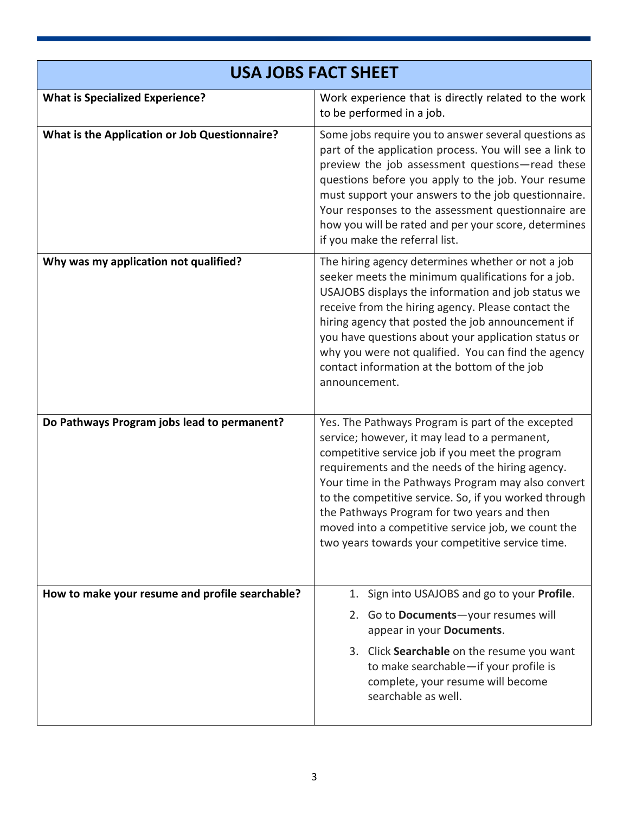| <b>USA JOBS FACT SHEET</b>                      |                                                                                                                                                                                                                                                                                                                                                                                                                                                                                   |  |
|-------------------------------------------------|-----------------------------------------------------------------------------------------------------------------------------------------------------------------------------------------------------------------------------------------------------------------------------------------------------------------------------------------------------------------------------------------------------------------------------------------------------------------------------------|--|
| <b>What is Specialized Experience?</b>          | Work experience that is directly related to the work<br>to be performed in a job.                                                                                                                                                                                                                                                                                                                                                                                                 |  |
| What is the Application or Job Questionnaire?   | Some jobs require you to answer several questions as<br>part of the application process. You will see a link to<br>preview the job assessment questions-read these<br>questions before you apply to the job. Your resume<br>must support your answers to the job questionnaire.<br>Your responses to the assessment questionnaire are<br>how you will be rated and per your score, determines<br>if you make the referral list.                                                   |  |
| Why was my application not qualified?           | The hiring agency determines whether or not a job<br>seeker meets the minimum qualifications for a job.<br>USAJOBS displays the information and job status we<br>receive from the hiring agency. Please contact the<br>hiring agency that posted the job announcement if<br>you have questions about your application status or<br>why you were not qualified. You can find the agency<br>contact information at the bottom of the job<br>announcement.                           |  |
| Do Pathways Program jobs lead to permanent?     | Yes. The Pathways Program is part of the excepted<br>service; however, it may lead to a permanent,<br>competitive service job if you meet the program<br>requirements and the needs of the hiring agency.<br>Your time in the Pathways Program may also convert<br>to the competitive service. So, if you worked through<br>the Pathways Program for two years and then<br>moved into a competitive service job, we count the<br>two years towards your competitive service time. |  |
| How to make your resume and profile searchable? | Sign into USAJOBS and go to your Profile.<br>1.<br>2. Go to Documents-your resumes will<br>appear in your Documents.<br>3. Click Searchable on the resume you want<br>to make searchable-if your profile is<br>complete, your resume will become<br>searchable as well.                                                                                                                                                                                                           |  |